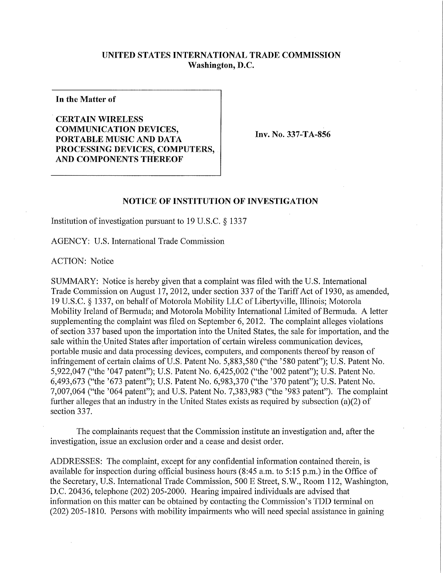## **UNITED STATES INTERNATIONAL TRADE COMMISSION Washington, D.C.**

**In the Matter of** 

**CERTAIN WIRELES S COMMUNICATION DEVICES, PORTABLE MUSIC AND DATA PROCESSING DEVICES, COMPUTERS, AND COMPONENTS THEREOF** 

Inv. No. 337-TA-856

## **NOTICE OF INSTITUTION OF INVESTIGATION**

Institution of investigation pursuant to 19 U.S.C. § 1337

AGENCY: U.S. International Trade Commission

ACTION: Notice

SUMMARY: Notice is hereby given that a complaint was filed with the U.S. International Trade Commission on August 17, 2012, under section 337 of the Tariff Act of 1930, as amended, 19 U.S.C. § 1337, on behalf of Motorola Mobility LLC of Libertyville, Illinois; Motorola Mobility Ireland of Bermuda; and Motorola Mobility International Limited of Bermuda. A letter supplementing the complaint was filed on September 6, 2012. The complaint alleges violations of section 337 based upon the importation into the United States, the sale for importation, and the sale within the United States after importation of certain wireless communication devices, portable music and data processing devices, computers, and components thereof by reason of infringement of certain claims of U.S. Patent No. 5,883,580 ("the '580 patent"); U.S. Patent No. 5,922,047 ("the '047 patent"); U.S. Patent No. 6,425,002 ("the '002 patent"); U.S. Patent No. 6,493,673 ("the '673 patent"); U.S. Patent No. 6,983,370 ("the '370 patent"); U.S. Patent No. 7,007,064 ("the '064 patent"); and U.S. Patent No. 7,383,983 ("the '983 patent"). The complaint further alleges that an industry in the United States exists as required by subsection (a)(2) of section 337.

The complainants request that the Commission institute an investigation and, after the investigation, issue an exclusion order and a cease and desist order.

ADDRESSES: The complaint, except for any confidential information contained therein, is available for inspection during official business hours (8:45 a.m. to 5:15 p.m.) in the Office of the Secretary, U.S. International Trade Commission, 500 E Street, S.W., Room 112, Washington, D.C. 20436, telephone (202) 205-2000. Hearing impaired individuals are advised that information on this matter can be obtained by contacting the Commission's TDD terminal on (202) 205-1810. Persons with mobility impairments who will need special assistance in gaining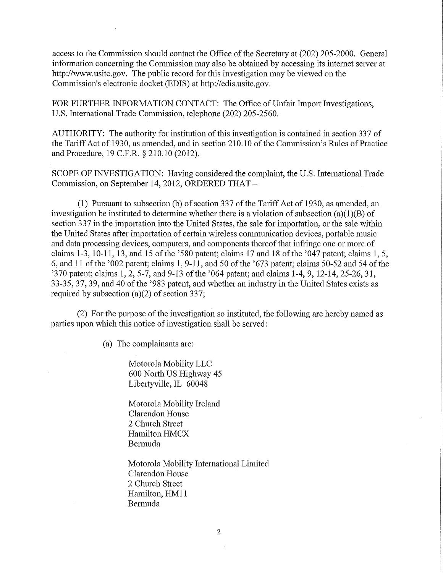access to the Commission should contact the Office of the Secretary at (202) 205-2000. General information concerning the Commission may also be obtained by accessing its internet server at http://www.usitc.gov. The public record for this investigation may be viewed on the Commission's electronic docket (EDIS) at http://edis.usitc.gov.

FOR FURTHER INFORMATION CONTACT: The Office of Unfair Import Investigations, U.S. Intemational Trade Commission, telephone (202) 205-2560.

AUTHORITY: The authority for institution of this investigation is contained in section 337 of the Tariff Act of 1930, as amended, and in section 210.10 of the Commission's Rules of Practice and Procedure, 19 C.F.R. § 210.10 (2012).

SCOPE OF INVESTIGATION: Having considered the complaint, the U.S. International Trade Commission, on September 14, 2012, ORDERED THAT -

(1) Pursuant to subsection (b) of section 337 of the Tariff Act of 1930, as amended, an investigation be instituted to determine whether there is a violation of subsection (a)(1)(B) of section 337 in the importation into the United States, the sale for importation, or the sale within the United States after importation of certain wireless communication devices, portable music and data processing devices, computers, and components thereof that infringe one or more of claims 1-3, 10-11, 13, and 15 of the  $\textdegree{}580$  patent; claims 17 and 18 of the  $\textdegree{}047$  patent; claims 1, 5, 6, and 11 of the '002 patent; claims 1, 9-11, and 50 of the '673 patent; claims  $\overline{50}$ -52 and 54 of the '370 patent; claims  $1, 2, 5$ -7, and 9-13 of the '064 patent; and claims 1-4, 9, 12-14, 25-26, 31, 33-35, 37, 39, and 40 of the '983 patent, and whether an industry in the United States exists as required by subsection (a)(2) of section 337;

(2) For the purpose of the investigation so instituted, the following are hereby named as parties upon which this notice of investigation shall be served:

(a) The complainants are:

Motorola Mobility LLC 600 North US Highway 45 Libertyville, IL 60048

Motorola Mobility Ireland Clarendon House 2 Church Street Hamilton HMCX Bermuda

Motorola Mobility International Limited Clarendon House 2 Church Street Hamilton, HM11 Bermuda

 $\ddot{\phantom{1}}$